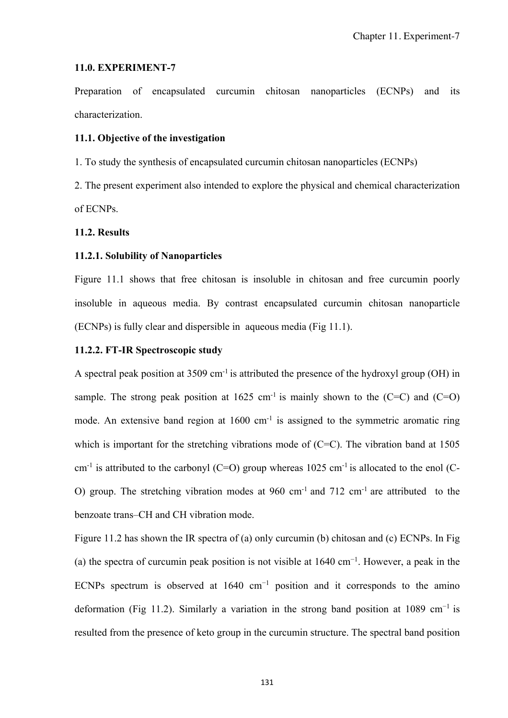#### **11.0. EXPERIMENT-7**

Preparation of encapsulated curcumin chitosan nanoparticles (ECNPs) and its characterization.

#### **11.1. Objective of the investigation**

1. To study the synthesis of encapsulated curcumin chitosan nanoparticles (ECNPs)

2. The present experiment also intended to explore the physical and chemical characterization of ECNPs.

#### **11.2. Results**

### **11.2.1. Solubility of Nanoparticles**

Figure 11.1 shows that free chitosan is insoluble in chitosan and free curcumin poorly insoluble in aqueous media. By contrast encapsulated curcumin chitosan nanoparticle (ECNPs) is fully clear and dispersible in aqueous media (Fig 11.1).

### **11.2.2. FT-IR Spectroscopic study**

A spectral peak position at  $3509 \text{ cm}^{-1}$  is attributed the presence of the hydroxyl group (OH) in sample. The strong peak position at  $1625 \text{ cm}^{-1}$  is mainly shown to the (C=C) and (C=O) mode. An extensive band region at 1600 cm<sup>-1</sup> is assigned to the symmetric aromatic ring which is important for the stretching vibrations mode of (C=C). The vibration band at 1505 cm<sup>-1</sup> is attributed to the carbonyl (C=O) group whereas  $1025 \text{ cm}^{-1}$  is allocated to the enol (C-O) group. The stretching vibration modes at  $960 \text{ cm}^{-1}$  and  $712 \text{ cm}^{-1}$  are attributed to the benzoate trans–CH and CH vibration mode.

Figure 11.2 has shown the IR spectra of (a) only curcumin (b) chitosan and (c) ECNPs. In Fig (a) the spectra of curcumin peak position is not visible at  $1640 \text{ cm}^{-1}$ . However, a peak in the ECNPs spectrum is observed at 1640 cm<sup>-1</sup> position and it corresponds to the amino deformation (Fig 11.2). Similarly a variation in the strong band position at 1089 cm<sup>-1</sup> is resulted from the presence of keto group in the curcumin structure. The spectral band position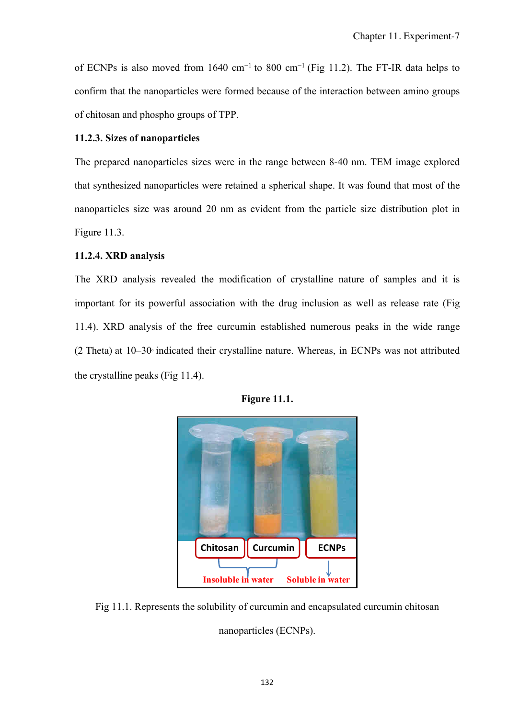of ECNPs is also moved from 1640 cm<sup>-1</sup> to 800 cm<sup>-1</sup> (Fig 11.2). The FT-IR data helps to confirm that the nanoparticles were formed because of the interaction between amino groups of chitosan and phospho groups of TPP.

## **11.2.3. Sizes of nanoparticles**

The prepared nanoparticles sizes were in the range between 8-40 nm. TEM image explored that synthesized nanoparticles were retained a spherical shape. It was found that most of the nanoparticles size was around 20 nm as evident from the particle size distribution plot in Figure 11.3.

# **11.2.4. XRD analysis**

The XRD analysis revealed the modification of crystalline nature of samples and it is important for its powerful association with the drug inclusion as well as release rate (Fig 11.4). XRD analysis of the free curcumin established numerous peaks in the wide range  $(2)$  Theta) at  $10-30$ ° indicated their crystalline nature. Whereas, in ECNPs was not attributed the crystalline peaks (Fig 11.4).



**Figure 11.1.** 

Fig 11.1. Represents the solubility of curcumin and encapsulated curcumin chitosan nanoparticles (ECNPs).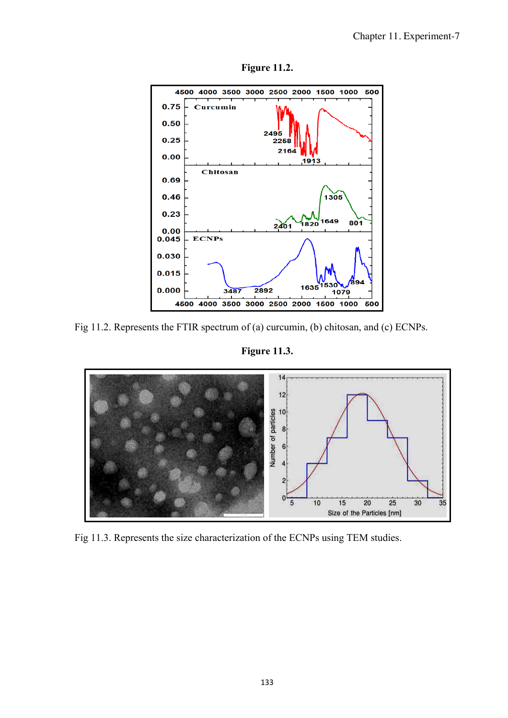

**Figure 11.2.** 

Fig 11.2. Represents the FTIR spectrum of (a) curcumin, (b) chitosan, and (c) ECNPs.

**Figure 11.3.** 



Fig 11.3. Represents the size characterization of the ECNPs using TEM studies.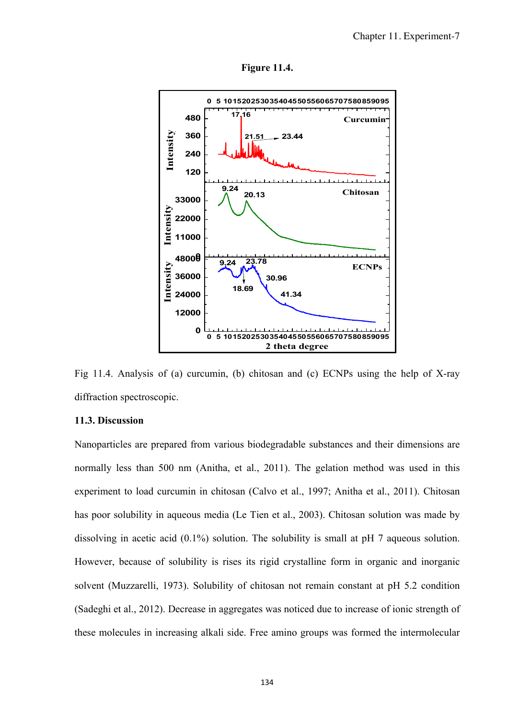



Fig 11.4. Analysis of (a) curcumin, (b) chitosan and (c) ECNPs using the help of X-ray diffraction spectroscopic.

#### **11.3. Discussion**

Nanoparticles are prepared from various biodegradable substances and their dimensions are normally less than 500 nm (Anitha, et al., 2011). The gelation method was used in this experiment to load curcumin in chitosan (Calvo et al., 1997; Anitha et al., 2011). Chitosan has poor solubility in aqueous media (Le Tien et al., 2003). Chitosan solution was made by dissolving in acetic acid  $(0.1\%)$  solution. The solubility is small at pH 7 aqueous solution. However, because of solubility is rises its rigid crystalline form in organic and inorganic solvent (Muzzarelli, 1973). Solubility of chitosan not remain constant at pH 5.2 condition (Sadeghi et al., 2012). Decrease in aggregates was noticed due to increase of ionic strength of these molecules in increasing alkali side. Free amino groups was formed the intermolecular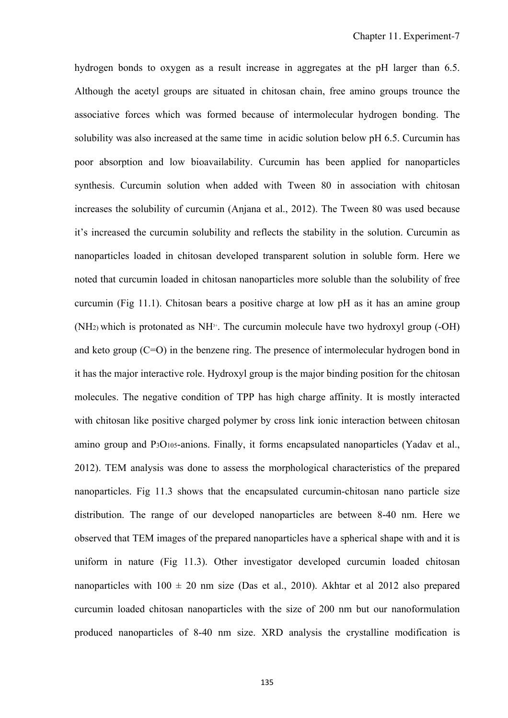hydrogen bonds to oxygen as a result increase in aggregates at the pH larger than 6.5. Although the acetyl groups are situated in chitosan chain, free amino groups trounce the associative forces which was formed because of intermolecular hydrogen bonding. The solubility was also increased at the same time in acidic solution below pH 6.5. Curcumin has poor absorption and low bioavailability. Curcumin has been applied for nanoparticles synthesis. Curcumin solution when added with Tween 80 in association with chitosan increases the solubility of curcumin (Anjana et al., 2012). The Tween 80 was used because it's increased the curcumin solubility and reflects the stability in the solution. Curcumin as nanoparticles loaded in chitosan developed transparent solution in soluble form. Here we noted that curcumin loaded in chitosan nanoparticles more soluble than the solubility of free curcumin (Fig 11.1). Chitosan bears a positive charge at low pH as it has an amine group (NH<sub>2)</sub> which is protonated as  $NH<sup>3+</sup>$ . The curcumin molecule have two hydroxyl group (-OH) and keto group  $(C=O)$  in the benzene ring. The presence of intermolecular hydrogen bond in it has the major interactive role. Hydroxyl group is the major binding position for the chitosan molecules. The negative condition of TPP has high charge affinity. It is mostly interacted with chitosan like positive charged polymer by cross link ionic interaction between chitosan amino group and P3O105-anions. Finally, it forms encapsulated nanoparticles (Yadav et al., 2012). TEM analysis was done to assess the morphological characteristics of the prepared nanoparticles. Fig 11.3 shows that the encapsulated curcumin-chitosan nano particle size distribution. The range of our developed nanoparticles are between 8-40 nm. Here we observed that TEM images of the prepared nanoparticles have a spherical shape with and it is uniform in nature (Fig 11.3). Other investigator developed curcumin loaded chitosan nanoparticles with  $100 \pm 20$  nm size (Das et al., 2010). Akhtar et al 2012 also prepared curcumin loaded chitosan nanoparticles with the size of 200 nm but our nanoformulation produced nanoparticles of 8-40 nm size. XRD analysis the crystalline modification is